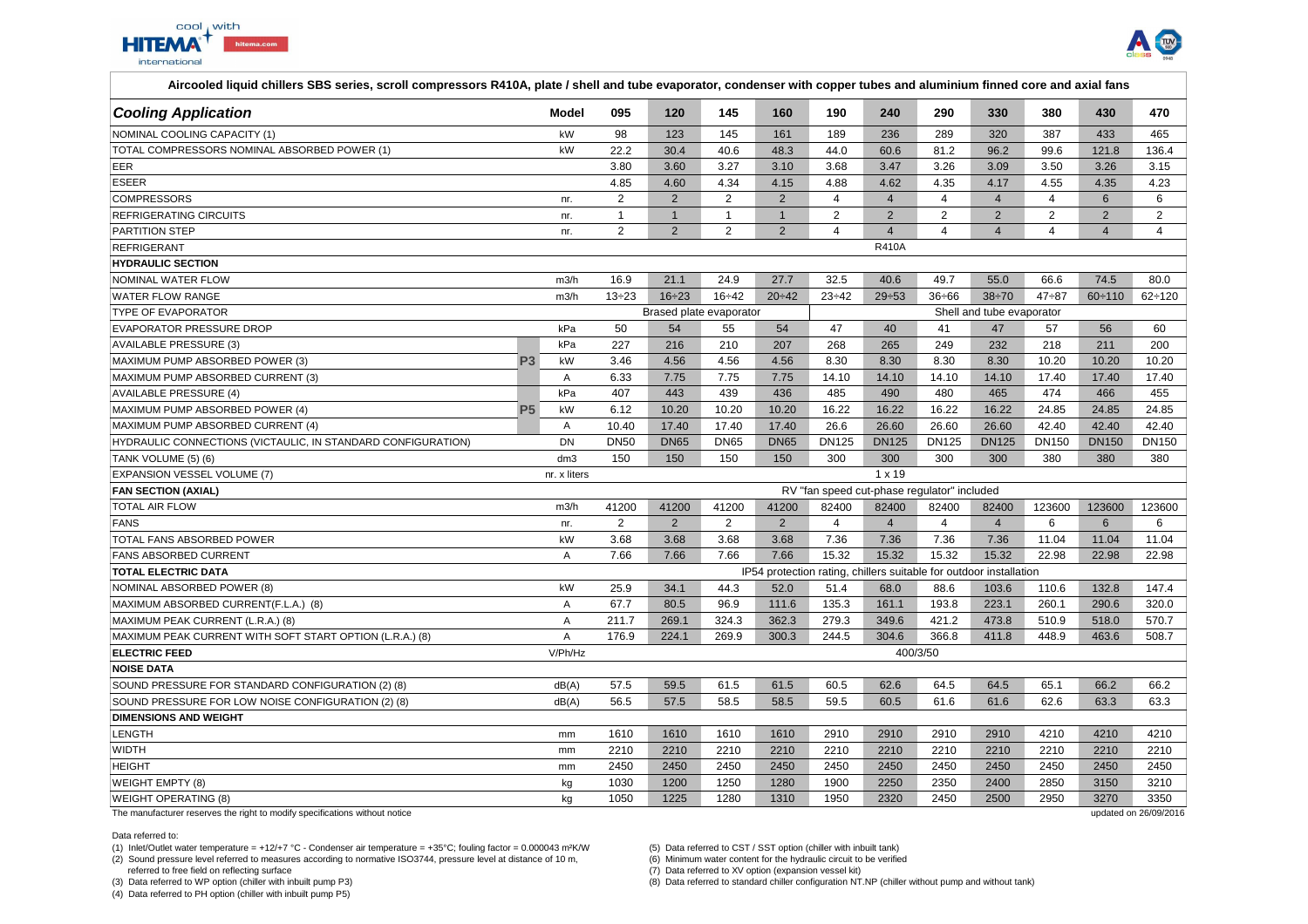



| <b>Cooling Application</b>                                   | Model                   | 095            | 120            | 145            | 160            | 190                       | 240            | 290                                                                | 330            | 380            | 430             | 470            |  |
|--------------------------------------------------------------|-------------------------|----------------|----------------|----------------|----------------|---------------------------|----------------|--------------------------------------------------------------------|----------------|----------------|-----------------|----------------|--|
| NOMINAL COOLING CAPACITY (1)                                 | kW                      | 98             | 123            | 145            | 161            | 189                       | 236            | 289                                                                | 320            | 387            | 433             | 465            |  |
| TOTAL COMPRESSORS NOMINAL ABSORBED POWER (1)                 | kW                      | 22.2           | 30.4           | 40.6           | 48.3           | 44.0                      | 60.6           | 81.2                                                               | 96.2           | 99.6           | 121.8           | 136.4          |  |
| <b>EER</b>                                                   |                         | 3.80           | 3.60           | 3.27           | 3.10           | 3.68                      | 3.47           | 3.26                                                               | 3.09           | 3.50           | 3.26            | 3.15           |  |
| <b>ESEER</b>                                                 |                         | 4.85           | 4.60           | 4.34           | 4.15           | 4.88                      | 4.62           | 4.35                                                               | 4.17           | 4.55           | 4.35            | 4.23           |  |
| <b>COMPRESSORS</b>                                           | nr.                     | $\overline{2}$ | $\overline{2}$ | $\overline{2}$ | $\overline{2}$ | $\overline{4}$            | $\overline{4}$ | $\overline{4}$                                                     | $\overline{4}$ | $\overline{4}$ | $6\overline{6}$ | 6              |  |
| <b>REFRIGERATING CIRCUITS</b>                                | nr.                     | $\mathbf{1}$   | $\mathbf{1}$   | $\mathbf{1}$   | $\mathbf{1}$   | 2                         | $\overline{2}$ | $\overline{2}$                                                     | $\overline{2}$ | $\overline{2}$ | $\overline{2}$  | $\overline{2}$ |  |
| PARTITION STEP                                               | nr.                     | $\overline{2}$ | $\overline{2}$ | $\overline{2}$ | $\overline{2}$ | $\overline{4}$            | $\overline{4}$ | $\overline{4}$                                                     | $\overline{4}$ | $\overline{4}$ | $\overline{4}$  | $\overline{4}$ |  |
| <b>REFRIGERANT</b>                                           | <b>R410A</b>            |                |                |                |                |                           |                |                                                                    |                |                |                 |                |  |
| <b>HYDRAULIC SECTION</b>                                     |                         |                |                |                |                |                           |                |                                                                    |                |                |                 |                |  |
| NOMINAL WATER FLOW                                           | m3/h                    | 16.9           | 21.1           | 24.9           | 27.7           | 32.5                      | 40.6           | 49.7                                                               | 55.0           | 66.6           | 74.5            | 80.0           |  |
| WATER FLOW RANGE                                             | m3/h                    | $13 \div 23$   | $16 \div 23$   | $16 - 42$      | 20:42          | $23 \div 42$              | $29 - 53$      | $36 \div 66$                                                       | $38 + 70$      | $47 - 87$      | $60 \div 110$   | $62 \div 120$  |  |
| <b>TYPE OF EVAPORATOR</b>                                    | Brased plate evaporator |                |                |                |                | Shell and tube evaporator |                |                                                                    |                |                |                 |                |  |
| EVAPORATOR PRESSURE DROP                                     | kPa                     | 50             | 54             | 55             | 54             | 47                        | 40             | 41                                                                 | 47             | 57             | 56              | 60             |  |
| AVAILABLE PRESSURE (3)                                       | kPa                     | 227            | 216            | 210            | 207            | 268                       | 265            | 249                                                                | 232            | 218            | 211             | 200            |  |
| MAXIMUM PUMP ABSORBED POWER (3)                              | <b>P3</b><br>kW         | 3.46           | 4.56           | 4.56           | 4.56           | 8.30                      | 8.30           | 8.30                                                               | 8.30           | 10.20          | 10.20           | 10.20          |  |
| MAXIMUM PUMP ABSORBED CURRENT (3)                            | Α                       | 6.33           | 7.75           | 7.75           | 7.75           | 14.10                     | 14.10          | 14.10                                                              | 14.10          | 17.40          | 17.40           | 17.40          |  |
| <b>AVAILABLE PRESSURE (4)</b>                                | kPa                     | 407            | 443            | 439            | 436            | 485                       | 490            | 480                                                                | 465            | 474            | 466             | 455            |  |
| MAXIMUM PUMP ABSORBED POWER (4)                              | kW<br><b>P5</b>         | 6.12           | 10.20          | 10.20          | 10.20          | 16.22                     | 16.22          | 16.22                                                              | 16.22          | 24.85          | 24.85           | 24.85          |  |
| MAXIMUM PUMP ABSORBED CURRENT (4)                            | $\overline{A}$          | 10.40          | 17.40          | 17.40          | 17.40          | 26.6                      | 26.60          | 26.60                                                              | 26.60          | 42.40          | 42.40           | 42.40          |  |
| HYDRAULIC CONNECTIONS (VICTAULIC, IN STANDARD CONFIGURATION) | <b>DN</b>               | <b>DN50</b>    | <b>DN65</b>    | <b>DN65</b>    | <b>DN65</b>    | <b>DN125</b>              | <b>DN125</b>   | <b>DN125</b>                                                       | <b>DN125</b>   | DN150          | <b>DN150</b>    | DN150          |  |
| TANK VOLUME (5) (6)                                          | dm3                     | 150            | 150            | 150            | 150            | 300                       | 300            | 300                                                                | 300            | 380            | 380             | 380            |  |
| EXPANSION VESSEL VOLUME (7)                                  | nr. x liters            |                |                |                |                |                           | $1 \times 19$  |                                                                    |                |                |                 |                |  |
| <b>FAN SECTION (AXIAL)</b>                                   |                         |                |                |                |                |                           |                | RV "fan speed cut-phase regulator" included                        |                |                |                 |                |  |
| <b>TOTAL AIR FLOW</b>                                        | m3/h                    | 41200          | 41200          | 41200          | 41200          | 82400                     | 82400          | 82400                                                              | 82400          | 123600         | 123600          | 123600         |  |
| <b>FANS</b>                                                  | nr.                     | 2              | $\overline{2}$ | $\overline{2}$ | $\overline{2}$ | $\overline{4}$            | $\overline{4}$ | $\overline{4}$                                                     | $\overline{4}$ | 6              | 6               | 6              |  |
| TOTAL FANS ABSORBED POWER                                    | kW                      | 3.68           | 3.68           | 3.68           | 3.68           | 7.36                      | 7.36           | 7.36                                                               | 7.36           | 11.04          | 11.04           | 11.04          |  |
| <b>FANS ABSORBED CURRENT</b>                                 | Α                       | 7.66           | 7.66           | 7.66           | 7.66           | 15.32                     | 15.32          | 15.32                                                              | 15.32          | 22.98          | 22.98           | 22.98          |  |
| <b>TOTAL ELECTRIC DATA</b>                                   |                         |                |                |                |                |                           |                | IP54 protection rating, chillers suitable for outdoor installation |                |                |                 |                |  |
| NOMINAL ABSORBED POWER (8)                                   | kW                      | 25.9           | 34.1           | 44.3           | 52.0           | 51.4                      | 68.0           | 88.6                                                               | 103.6          | 110.6          | 132.8           | 147.4          |  |
| MAXIMUM ABSORBED CURRENT(F.L.A.) (8)                         | $\overline{A}$          | 67.7           | 80.5           | 96.9           | 111.6          | 135.3                     | 161.1          | 193.8                                                              | 223.1          | 260.1          | 290.6           | 320.0          |  |
| MAXIMUM PEAK CURRENT (L.R.A.) (8)                            | Α                       | 211.7          | 269.1          | 324.3          | 362.3          | 279.3                     | 349.6          | 421.2                                                              | 473.8          | 510.9          | 518.0           | 570.7          |  |
| MAXIMUM PEAK CURRENT WITH SOFT START OPTION (L.R.A.) (8)     | A                       | 176.9          | 224.1          | 269.9          | 300.3          | 244.5                     | 304.6          | 366.8                                                              | 411.8          | 448.9          | 463.6           | 508.7          |  |
| <b>ELECTRIC FEED</b>                                         | V/Ph/Hz                 |                |                |                |                |                           |                | 400/3/50                                                           |                |                |                 |                |  |
| <b>NOISE DATA</b>                                            |                         |                |                |                |                |                           |                |                                                                    |                |                |                 |                |  |
| SOUND PRESSURE FOR STANDARD CONFIGURATION (2) (8)            | dB(A)                   | 57.5           | 59.5           | 61.5           | 61.5           | 60.5                      | 62.6           | 64.5                                                               | 64.5           | 65.1           | 66.2            | 66.2           |  |
| SOUND PRESSURE FOR LOW NOISE CONFIGURATION (2) (8)           | dB(A)                   | 56.5           | 57.5           | 58.5           | 58.5           | 59.5                      | 60.5           | 61.6                                                               | 61.6           | 62.6           | 63.3            | 63.3           |  |
| <b>DIMENSIONS AND WEIGHT</b>                                 |                         |                |                |                |                |                           |                |                                                                    |                |                |                 |                |  |
| LENGTH                                                       | mm                      | 1610           | 1610           | 1610           | 1610           | 2910                      | 2910           | 2910                                                               | 2910           | 4210           | 4210            | 4210           |  |
| <b>WIDTH</b>                                                 | mm                      | 2210           | 2210           | 2210           | 2210           | 2210                      | 2210           | 2210                                                               | 2210           | 2210           | 2210            | 2210           |  |
| <b>HEIGHT</b>                                                | mm                      | 2450           | 2450           | 2450           | 2450           | 2450                      | 2450           | 2450                                                               | 2450           | 2450           | 2450            | 2450           |  |
| <b>WEIGHT EMPTY (8)</b>                                      | kg                      | 1030           | 1200           | 1250           | 1280           | 1900                      | 2250           | 2350                                                               | 2400           | 2850           | 3150            | 3210           |  |
| <b>WEIGHT OPERATING (8)</b>                                  | kq                      | 1050           | 1225           | 1280           | 1310           | 1950                      | 2320           | 2450                                                               | 2500           | 2950           | 3270            | 3350           |  |

The manufacturer reserves the right to modify specifications without notice

Data referred to:

(1) Inlet/Outlet water temperature = +12/+7 °C - Condenser air temperature = +35°C; fouling factor = 0.000043 m²K/W (5) Data referred to CST / SST option (chiller with inbuilt tank)

(2) Sound pressure level referred to measures according to normative ISO3744, pressure level at distance of 10 m,

 referred to free field on reflecting surface(3) Data referred to WP option (chiller with inbuilt pump P3)

(4) Data referred to PH option (chiller with inbuilt pump P5)

(6) Minimum water content for the hydraulic circuit to be verified

(7) Data referred to XV option (expansion vessel kit)

(8) Data referred to standard chiller configuration NT.NP (chiller without pump and without tank)

updated on 26/09/2016